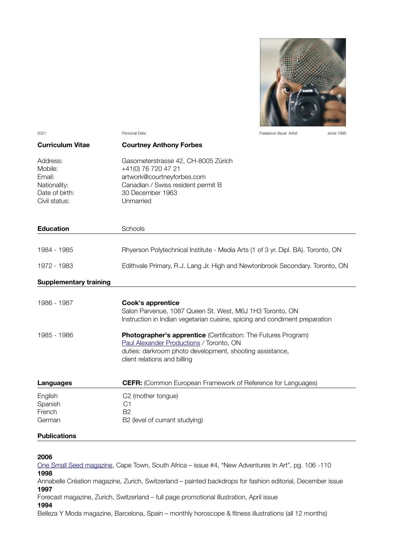

2021 Personal Data Freelance Visual Artist since 1995 **Curriculum Vitae Courtney Anthony Forbes**  Address: Gasometerstrasse 42, CH-8005 Zürich Mobile: +41(0) 76 720 47 21 Email: artwork@courtneyforbes.com Nationality: Canadian / Swiss resident permit B Date of birth: 30 December 1963 Civil status: Unmarried **Education** Schools 1984 - 1985 Rhyerson Polytechnical Institute - Media Arts (1 of 3 yr. Dipl. BA). Toronto, ON 1972 - 1983 Edithvale Primary, R.J. Lang Jr. High and Newtonbrook Secondary. Toronto, ON **Supplementary training** 1986 - 1987 **Cook's apprentice** Salon Parvenue, 1087 Queen St. West, M6J 1H3 Toronto, ON Instruction in Indian vegetarian cuisine, spicing and condiment preparation 1985 - 1986 **Photographer's apprentice** (Certifcation: The Futures Program) [Paul Alexander Productions](http://paul-alexander.com/) / Toronto, ON duties: darkroom photo development, shooting assistance, client relations and billing **Languages CEFR:** (Common European Framework of Reference for Languages) English C2 (mother tongue)

### **Publications**

Spanish C1 French B2

German B2 (level of currant studying)

#### **2006**

[One Small Seed magazine,](https://issuu.com/onesmallseed/docs/issue_4?backgroundColor=%2523222222) Cape Town, South Africa – issue #4, "New Adventures In Art", pg. 106 -110 **1998**

Annabelle Création magazine, Zurich, Switzerland – painted backdrops for fashion editorial, December issue **1997**

Forecast magazine, Zurich, Switzerland – full page promotional illustration, April issue

### **1994**

Belleza Y Moda magazine, Barcelona, Spain – monthly horoscope & fitness illustrations (all 12 months)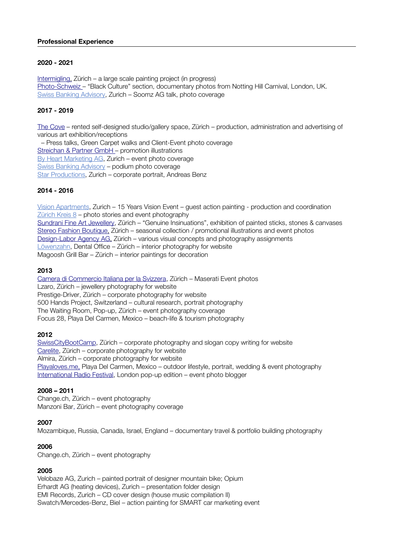## **Professional Experience**

# **2020 - 2021**

Intermigling, Zürich – a large scale painting project (in progress) Photo-Schweiz – "Black Culture" section, documentary photos from Notting Hill Carnival, London, UK. [Swiss Banking Advisory,](http://www.swissbankingadvisory.ch/) Zurich – Soomz AG talk, photo coverage

# **2017 - 2019**

[The Cove](https://www.courtneyforbes.com/front_content.php?idcat=82&lang=10) – rented self-designed studio/gallery space, Zürich – production, administration and advertising of various art exhibition/receptions

 – Press talks, Green Carpet walks and Client-Event photo coverage Streichan & Partner GmbH – promotion illustrations [By Heart Marketing AG,](http://www.byheart.ch/) Zurich – event photo coverage [Swiss Banking Advisory](http://www.swissbankingadvisory.ch/) - podium photo coverage [Star Productions,](http://spark-productions.ch/about/) Zurich – corporate portrait, Andreas Benz

# **2014 - 2016**

[Vision Apartments,](https://visionapartments.com/en-US/Company/History.aspx) Zurich – 15 Years Vision Event – guest action painting - production and coordination [Zürich Kreis 8](http://www.zurichkreis8.ch/kreis-8/unterwegsimkreis8.html) – photo stories and event photography [Sundrani Fine Art Jewellery,](https://www.facebook.com/photo?fbid=10152611010776057&set=a.10152611005571057) Zürich – "Genuine Insinuations", exhibition of painted sticks, stones & canvases Stereo Fashion Boutique, Zürich – seasonal collection / promotional illustrations and event photos Design-Labor Agency AG, Zürich – various visual concepts and photography assignments [Löwenzahn,](http://www.loewen-zahn.ch/#!rundgang/c1a73) Dental Office – Zürich – interior photography for website Magoosh Grill Bar – Zürich – interior paintings for decoration

# **2013**

[Camera di Commercio Italiana per la Svizzera,](http://www.courtneyforbes.com/front_content.php?idcat=102&lang=10) Zürich – Maserati Event photos Lzaro, Zürich – jewellery photography for website [Prestige-Driver,](http://www.prestige-driver.com/) Zürich – corporate photography for website [500 Hands Project,](https://www.youtube.com/watch?v=MMXwvLL2nQl) Switzerland – cultural research, portrait photography The Waiting Room, Pop-up, Zürich – event photography coverage Focus 28, Playa Del Carmen, Mexico – beach-life & tourism photography

## **2012**

[SwissCityBootCamp,](http://www.swisscitybootcamp.com/) Zürich – corporate photography and slogan copy writing for website [Carelite,](http://www.carelite.ch/) Zürich – corporate photography for website Almira, Zürich – corporate photography for website  [Playaloves. me,](http://www.playaloves.me/) Playa Del Carmen, Mexico – outdoor lifestyle, portrait, wedding & event photography [International Radio Festival,](https://www.internationalradiofestival.com/all-the-editions-of-the-irf/) London pop-up edition – event photo blogger

## **2008 – 2011**

Change.ch, Zürich – event photography Manzoni Bar, Zürich – event photography coverage

## **2007**

Mozambique, Russia, Canada, Israel, England – documentary travel & portfolio building photography

## **2006**

[Change.ch,](http://change.ch/fotogalerie/index.html) Zürich – event photography

## **2005**

Velobaze AG, Zurich – painted portrait of designer mountain bike; Opium Erhardt AG (heating devices), Zurich – presentation folder design EMI Records, Zurich – CD cover design (house music compilation II) Swatch/Mercedes-Benz, Biel – action painting for SMART car marketing event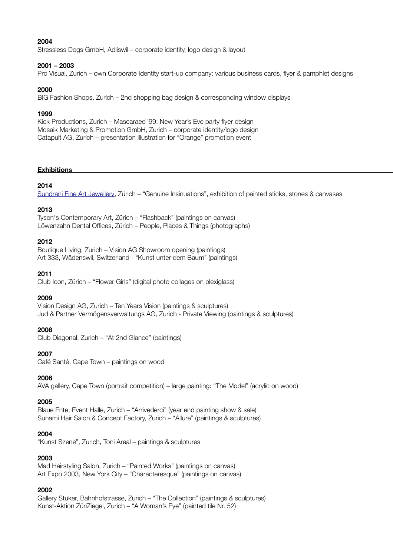## **2004**

Stressless Dogs GmbH, Adliswil – corporate identity, logo design & layout

### **2001 – 2003**

Pro Visual, Zurich – own Corporate Identity start-up company: various business cards, fyer & pamphlet designs

### **2000**

BIG Fashion Shops, Zurich – 2nd shopping bag design & corresponding window displays

### **1999**

Kick Productions, Zurich – Mascaraed `99: New Year's Eve party fyer design Mosaik Marketing & Promotion GmbH, Zurich – corporate identity/logo design Catapult AG, Zurich – presentation illustration for "Orange" promotion event

### **Exhibitions**

## **2014**

[Sundrani Fine Art Jewellery,](https://www.facebook.com/photo?fbid=10152611010776057&set=a.10152611005571057) Zürich – "Genuine Insinuations", exhibition of painted sticks, stones & canvases

## **2013**

Tyson's Contemporary Art, Zürich – "Flashback" (paintings on canvas) Löwenzahn Dental Offices, Zürich - People, Places & Things (photographs)

### **2012**

Boutique Living, Zurich – Vision AG Showroom opening (paintings) Art 333, Wädenswil, Switzerland - "Kunst unter dem Baum" (paintings)

### **2011**

Club Icon, Zürich – "Flower Girls" (digital photo collages on plexiglass)

#### **2009**

Vision Design AG, Zurich – Ten Years Vision (paintings & sculptures) Jud & Partner Vermögensverwaltungs AG, Zurich - Private Viewing (paintings & sculptures)

## **2008**

Club Diagonal, Zurich – "At 2nd Glance" (paintings)

## **2007**

Café Santé, Cape Town – paintings on wood

#### **2006**

AVA gallery, Cape Town (portrait competition) – large painting: "The Model" (acrylic on wood)

#### **2005**

Blaue Ente, Event Halle, Zurich – "Arrivederci" (year end painting show & sale) Sunami Hair Salon & Concept Factory, Zurich – "Allure" (paintings & sculptures)

## **2004**

"Kunst Szene", Zurich, Toni Areal – paintings & sculptures

## **2003**

Mad Hairstyling Salon, Zurich – "Painted Works" (paintings on canvas) Art Expo 2003, New York City – "Characteresque" (paintings on canvas)

## **2002**

Gallery Stuker, Bahnhofstrasse, Zurich – "The Collection" (paintings & sculptures) Kunst-Aktion ZüriZiegel, Zurich – "A Woman's Eye" (painted tile Nr. 52)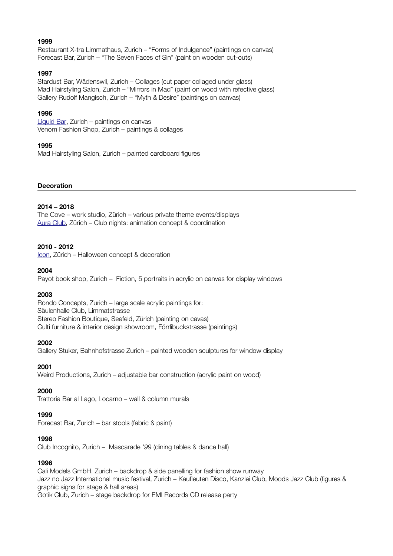# **1999**

Restaurant X-tra Limmathaus, Zurich – "Forms of Indulgence" (paintings on canvas) Forecast Bar, Zurich – "The Seven Faces of Sin" (paint on wooden cut-outs)

### **1997**

Stardust Bar, Wädenswil, Zurich – Collages (cut paper collaged under glass) Mad Hairstyling Salon, Zurich – "Mirrors in Mad" (paint on wood with refective glass) Gallery Rudolf Mangisch, Zurich – "Myth & Desire" (paintings on canvas)

### **1996**

[Liquid Bar,](http://www.liquid-bar.ch/) Zurich – paintings on canvas Venom Fashion Shop, Zurich – paintings & collages

### **1995**

Mad Hairstyling Salon, Zurich – painted cardboard figures

### **Decoration**

### **2014 – 2018**

The Cove – work studio, Zürich – various private theme events/displays [Aura Club,](https://www.aura-zurich.ch/club/) Zürich – Club nights: animation concept & coordination

### **2010 - 2012**

[Icon,](https://www.icon-zurich.ch/) Zürich – Halloween concept & decoration

### **2004**

Payot book shop, Zurich – Fiction, 5 portraits in acrylic on canvas for display windows

#### **2003**

Rondo Concepts, Zurich – large scale acrylic paintings for: Säulenhalle Club, Limmatstrasse Stereo Fashion Boutique, Seefeld, Zürich (painting on cavas) Culti furniture & interior design showroom, Förrlibuckstrasse (paintings)

#### **2002**

Gallery Stuker, Bahnhofstrasse Zurich – painted wooden sculptures for window display

## **2001**

Weird Productions, Zurich – adjustable bar construction (acrylic paint on wood)

#### **2000**

Trattoria Bar al Lago, Locarno – wall & column murals

#### **1999**

Forecast Bar, Zurich – bar stools (fabric & paint)

#### **1998**

Club Incognito, Zurich – Mascarade *'99* (dining tables & dance hall)

## **1996**

Cali Models GmbH, Zurich – backdrop & side panelling for fashion show runway Jazz no Jazz International music festival, Zurich – Kaufeuten Disco, Kanzlei Club, Moods Jazz Club (fgures & graphic signs for stage & hall areas) Gotik Club, Zurich – stage backdrop for EMI Records CD release party